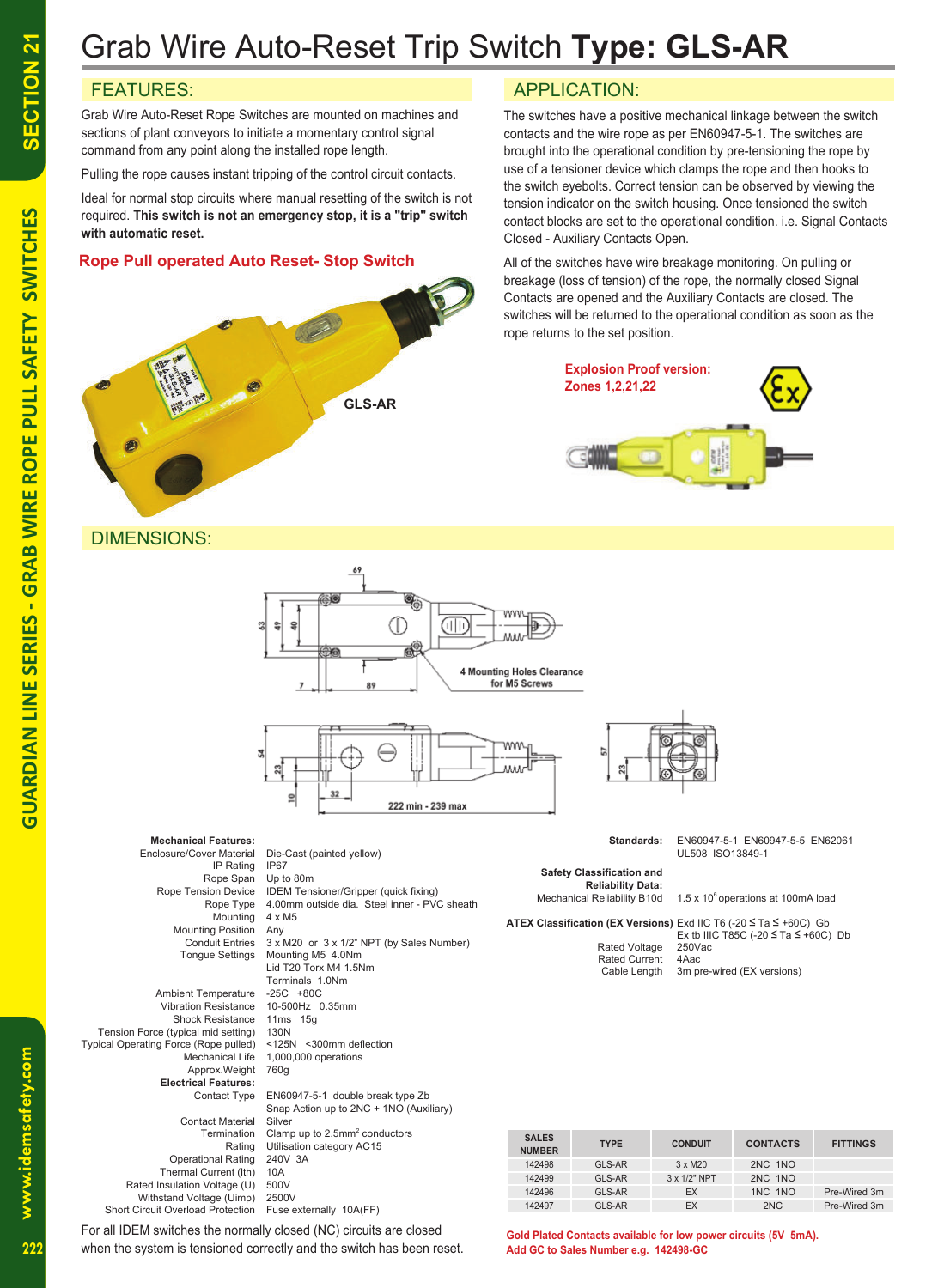## Grab Wire Auto-Reset Trip Switch **Type: GLS-AR**

Grab Wire Auto-Reset Rope Switches are mounted on machines and sections of plant conveyors to initiate a momentary control signal command from any point along the installed rope length.

Pulling the rope causes instant tripping of the control circuit contacts.

Ideal for normal stop circuits where manual resetting of the switch is not required. **This switch is not an emergency stop, it is a "trip" switch with automatic reset.** 

### **Rope Pull operated Auto Reset- Stop Switch**



### **FEATURES:** APPLICATION:

The switches have a positive mechanical linkage between the switch contacts and the wire rope as per EN60947-5-1. The switches are brought into the operational condition by pre-tensioning the rope by use of a tensioner device which clamps the rope and then hooks to the switch eyebolts. Correct tension can be observed by viewing the tension indicator on the switch housing. Once tensioned the switch contact blocks are set to the operational condition. i.e. Signal Contacts Closed - Auxiliary Contacts Open.

All of the switches have wire breakage monitoring. On pulling or breakage (loss of tension) of the rope, the normally closed Signal Contacts are opened and the Auxiliary Contacts are closed. The switches will be returned to the operational condition as soon as the rope returns to the set position.



### DIMENSIONS:

**Mechanical Features:**

Typical Operating Force (Rope pulled)<br>Mechanical Life

Rope Span

**Mounting** Mounting Position Any

 Ambient Temperature -25C +80C Vibration Resistance 10-500Hz 0.35mm Shock Resistance 11ms<br>typical mid setting) 130N Tension Force (typical mid setting) 130N<br>bical Operating Force (Rope pulled) <125N <300mm deflection

Approx.Weight 760g

**Electrical Features:**

Contact Material<br>Termination Termination Clamp up to 2.5mm<sup>2</sup> conductors

> Operational Rating 240<br>hermal Current (Ith) 10A Thermal Current (lth) 10A<br>Insulation Voltage (U) 500V

 Enclosure/Cover Material Die-Cast (painted yellow) IP Rating IP67<br>lope Span Up to 80m

Rope Tension Device IDEM Tensioner/Gripper (quick fixing)

Conduit Entries  $3 \times M20$  or  $3 \times 1/2$ " NPT (by Sales Number)<br>Tongue Settings Mounting M5 4.0Nm Mounting M5 4.0Nm Lid T20 Torx M4 1.5Nm Terminals 1.0Nm

 $1.000.000$  operations

Rating Utilisation category AC15<br>Rating 240V 3A

EN60947-5-1 double break type Zb Snap Action up to 2NC + 1NO (Auxiliary)<br>Silver

4.00mm outside dia. Steel inner - PVC sheath 4 x M5





**Standards:** EN60947-5-1 EN60947-5-5 EN62061 UL508 ISO13849-1

 **Safety Classification and Reliability Data:**<br>Mechanical Reliability B10d

| <b>ATEX Classification (EX Versions)</b> Exd IIC T6 (-20 $\leq$ Ta $\leq$ +60C) Gb |                                              |
|------------------------------------------------------------------------------------|----------------------------------------------|
|                                                                                    | Ex tb IIIC T85C (-20 $\le$ Ta $\le$ +60C) Db |
| Rated Voltage                                                                      | 250Vac                                       |
| <b>Rated Current</b>                                                               | 4Aac                                         |
| Cable Longth                                                                       | 2m pro wired (EV versions)                   |

| <b>Rated Voltage</b> | $Ex$ tb II<br>250Vac |
|----------------------|----------------------|
| <b>Rated Current</b> | 4Aac                 |
| Cable Length         | 3m pre-              |

 $Ex$  tb IIIC T85C (-20  $\leq$  Ta  $\leq$  +60C) Db 3m pre-wired (EX versions)

 $1.5 \times 10^6$  operations at 100mA load

For all IDEM switches the normally closed (NC) circuits are closed when the system is tensioned correctly and the switch has been reset. Rated Insulation Voltage (U) 500V<br>Withstand Voltage (Uimp) 2500V Withstand Voltage (Uimp) 2500V<br>Circuit Overload Protection Fuse externally 10A(FF) Short Circuit Overload Protection

| <b>SALES</b><br><b>NUMBER</b> | <b>TYPE</b> | <b>CONDUIT</b>       | <b>CONTACTS</b> | <b>FITTINGS</b> |
|-------------------------------|-------------|----------------------|-----------------|-----------------|
| 142498                        | GLS-AR      | $3 \times M20$       | 2NC 1NO         |                 |
| 142499                        | GLS-AR      | $3 \times 1/2$ " NPT | 2NC 1NO         |                 |
| 142496                        | GLS-AR      | EX                   | 1NC 1NO         | Pre-Wired 3m    |
| 142497                        | GLS-AR      | EX                   | 2NC             | Pre-Wired 3m    |

**Gold Plated Contacts available for low power circuits (5V 5mA). Add GC to Sales Number e.g. 142498-GC**